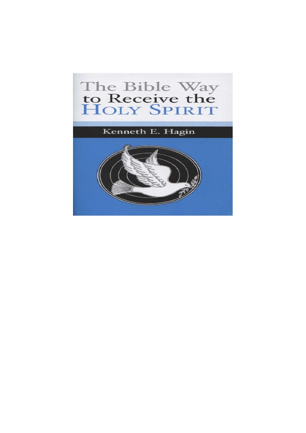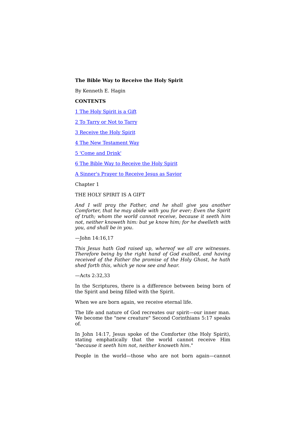#### **The Bible Way to Receive the Holy Spirit**

By Kenneth E. Hagin

# **CONTENTS**

1 The Holy Spirit is a Gift

2 To Tarry or Not to Tarry

3 Receive the Holy Spirit

4 The New Testament Way

5 'Come and Drink'

6 The Bible Way to Receive the Holy Spirit

A Sinner's Prayer to Receive Jesus as Savior

Chapter 1

THE HOLY SPIRIT IS A GIFT

*And I will pray the Father, and he shall give you another Comforter, that he may abide with you for ever; Even the Spirit of truth; whom the world cannot receive, because it seeth him not, neither knoweth him: but ye know him; for he dwelleth with you, and shall be in you.*

—John 14:16,17

*This Jesus hath God raised up, whereof we all are witnesses. Therefore being by the right hand of God exalted, and having received of the Father the promise of the Holy Ghost, he hath shed forth this, which ye now see and hear.*

—Acts 2:32,33

In the Scriptures, there is a difference between being born of the Spirit and being filled with the Spirit.

When we are born again, we receive eternal life.

The life and nature of God recreates our spirit—our inner man. We become the "new creature" Second Corinthians 5:17 speaks of.

In John 14:17, Jesus spoke of the Comforter (the Holy Spirit), stating emphatically that the world cannot receive Him *"because it seeth him not, neither knoweth him."*

People in the world—those who are not born again—cannot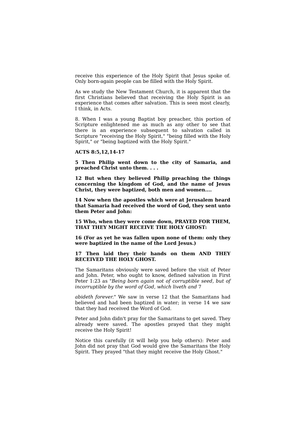receive this experience of the Holy Spirit that Jesus spoke of. Only born-again people can be filled with the Holy Spirit.

As we study the New Testament Church, it is apparent that the first Christians believed that receiving the Holy Spirit is an experience that comes after salvation. This is seen most clearly, I think, in Acts.

8. When I was a young Baptist boy preacher, this portion of Scripture enlightened me as much as any other to see that there is an experience subsequent to salvation called in Scripture "receiving the Holy Spirit," "being filled with the Holy Spirit," or "being baptized with the Holy Spirit."

# **ACTS 8:5,12,14-17**

**5 Then Philip went down to the city of Samaria, and preached Christ unto them. . . .**

**12 But when they believed Philip preaching the things concerning the kingdom of God, and the name of Jesus Christ, they were baptized, both men and women....**

**14 Now when the apostles which were at Jerusalem heard that Samaria had received the word of God, they sent unto them Peter and John:**

**15 Who, when they were come down, PRAYED FOR THEM, THAT THEY MIGHT RECEIVE THE HOLY GHOST:**

**16 (For as yet he was fallen upon none of them: only they were baptized in the name of the Lord Jesus.)**

# **17 Then laid they their hands on them AND THEY RECEIVED THE HOLY GHOST.**

The Samaritans obviously were saved before the visit of Peter and John. Peter, who ought to know, defined salvation in First Peter 1:23 as *"Being born again not of corruptible seed, but of incorruptible by the word of God, which liveth and* 7

*abideth forever."* We saw in verse 12 that the Samaritans had believed and had been baptized in water; in verse 14 we saw that they had received the Word of God.

Peter and John didn't pray for the Samaritans to get saved. They already were saved. The apostles prayed that they might receive the Holy Spirit!

Notice this carefully (it will help you help others): Peter and John did not pray that God would give the Samaritans the Holy Spirit. They prayed "that they might receive the Holy Ghost."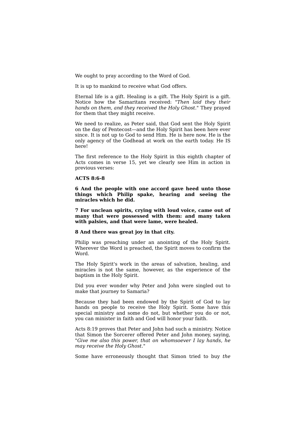We ought to pray according to the Word of God.

It is up to mankind to receive what God offers.

Eternal life is a gift. Healing is a gift. The Holy Spirit is a gift. Notice how the Samaritans received: *"Then laid they their hands on them, and they received the Holy Ghost."* They prayed for them that they might receive.

We need to realize, as Peter said, that God sent the Holy Spirit on the day of Pentecost—and the Holy Spirit has been here ever since. It is not up to God to send Him. He is here now. He is the only agency of the Godhead at work on the earth today. He IS here!

The first reference to the Holy Spirit in this eighth chapter of Acts comes in verse 15, yet we clearly see Him in action in previous verses:

## **ACTS 8:6-8**

**6 And the people with one accord gave heed unto those things which Philip spake, hearing and seeing the miracles which he did.**

**7 For unclean spirits, crying with loud voice, came out of many that were possessed with them: and many taken with palsies, and that were lame, were healed.**

### **8 And there was great joy in that city.**

Philip was preaching under an anointing of the Holy Spirit. Wherever the Word is preached, the Spirit moves to confirm the Word.

The Holy Spirit's work in the areas of salvation, healing, and miracles is not the same, however, as the experience of the baptism in the Holy Spirit.

Did you ever wonder why Peter and John were singled out to make that journey to Samaria?

Because they had been endowed by the Spirit of God to lay hands on people to receive the Holy Spirit. Some have this special ministry and some do not, but whether you do or not, you can minister in faith and God will honor your faith.

Acts 8:19 proves that Peter and John had such a ministry. Notice that Simon the Sorcerer offered Peter and John money, saying, *"Give me also this power, that on whomsoever I lay hands, he may receive the Holy Ghost."*

Some have erroneously thought that Simon tried to buy *the*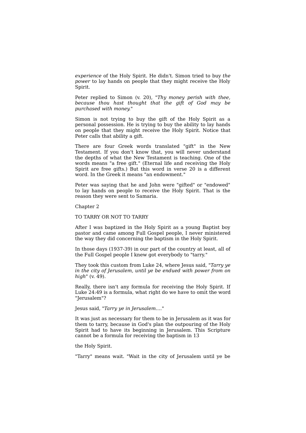*experience* of the Holy Spirit. He didn't. Simon tried to buy *the power* to lay hands on people that they might receive the Holy Spirit.

Peter replied to Simon (v. 20), *"Thy money perish with thee, because thou hast thought that the gift of God may be purchased with money."*

Simon is not trying to buy the gift of the Holy Spirit as a personal possession. He is trying to buy the ability to lay hands on people that they might receive the Holy Spirit. Notice that Peter calls that ability a gift.

There are four Greek words translated "gift" in the New Testament. If you don't know that, you will never understand the depths of what the New Testament is teaching. One of the words means "a free gift." (Eternal life and receiving the Holy Spirit are free gifts.) But this word in verse 20 is a different word. In the Greek it means "an endowment."

Peter was saying that he and John were "gifted" or "endowed" to lay hands on people to receive the Holy Spirit. That is the reason they were sent to Samaria.

Chapter 2

TO TARRY OR NOT TO TARRY

After I was baptized in the Holy Spirit as a young Baptist boy pastor and came among Full Gospel people, I never ministered the way they did concerning the baptism in the Holy Spirit.

In those days (1937-39) in our part of the country at least, all of the Full Gospel people I knew got everybody to "tarry."

They took this custom from Luke 24, where Jesus said, *"Tarry ye in the city of Jerusalem, until ye be endued with power from on high"* (v. 49).

Really, there isn't any formula for receiving the Holy Spirit. If Luke 24:49 is a formula, what right do we have to omit the word "Jerusalem"?

Jesus said, *"Tarry ye in Jerusalem...."*

It was just as necessary for them to be in Jerusalem as it was for them to tarry, because in God's plan the outpouring of the Holy Spirit had to have its beginning in Jerusalem. This Scripture cannot be a formula for receiving the baptism in 13

the Holy Spirit.

"Tarry" means wait. "Wait in the city of Jerusalem until ye be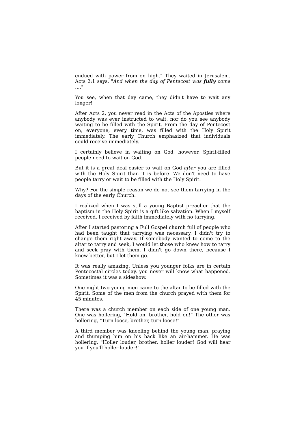endued with power from on high." They waited in Jerusalem. Acts 2:1 says, *"And when the day of Pentecost was fully come ...."*

You see, when that day came, they didn't have to wait any longer!

After Acts 2, you never read in the Acts of the Apostles where anybody was ever instructed to wait, nor do you see anybody waiting to be filled with the Spirit. From the day of Pentecost on, everyone, every time, was filled with the Holy Spirit immediately. The early Church emphasized that individuals could receive immediately.

I certainly believe in waiting on God, however. Spirit-filled people need to wait on God.

But it is a great deal easier to wait on God *after* you are filled with the Holy Spirit than it is before. We don't need to have people tarry or wait to be filled with the Holy Spirit.

Why? For the simple reason we do not see them tarrying in the days of the early Church.

I realized when I was still a young Baptist preacher that the baptism in the Holy Spirit is a gift like salvation. When I myself received, I received by faith immediately with no tarrying.

After I started pastoring a Full Gospel church full of people who had been taught that tarrying was necessary, I didn't try to change them right away. If somebody wanted to come to the altar to tarry and seek, I would let those who knew how to tarry and seek pray with them. I didn't go down there, because I knew better, but I let them go.

It was really amazing. Unless you younger folks are in certain Pentecostal circles today, you never will know what happened. Sometimes it was a sideshow.

One night two young men came to the altar to be filled with the Spirit. Some of the men from the church prayed with them for 45 minutes.

There was a church member on each side of one young man. One was hollering, "Hold on, brother, hold on!" The other was hollering, "Turn loose, brother, turn loose!"

A third member was kneeling behind the young man, praying and thumping him on his back like an air-hammer. He was hollering, "Holler louder, brother, holler louder! God will hear you if you'll holler louder!"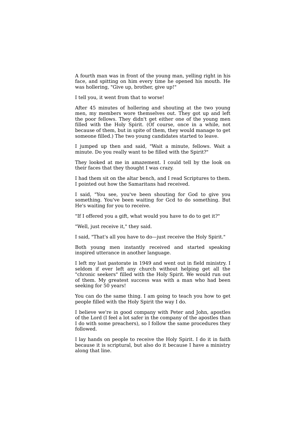A fourth man was in front of the young man, yelling right in his face, and spitting on him every time he opened his mouth. He was hollering, "Give up, brother, give up!"

I tell you, it went from that to worse!

After 45 minutes of hollering and shouting at the two young men, my members wore themselves out. They got up and left the poor fellows. They didn't get either one of the young men filled with the Holy Spirit. (Of course, once in a while, not because of them, but in spite of them, they would manage to get someone filled.) The two young candidates started to leave.

I jumped up then and said, "Wait a minute, fellows. Wait a minute. Do you really want to be filled with the Spirit?"

They looked at me in amazement. I could tell by the look on their faces that they thought I was crazy.

I had them sit on the altar bench, and I read Scriptures to them. I pointed out how the Samaritans had received.

I said, "You see, you've been shouting for God to give you something. You've been waiting for Gcd to do something. But He's waiting for you to receive.

"If I offered you a gift, what would you have to do to get it?"

"Well, just receive it," they said.

I said, "That's all you have to do—just receive the Holy Spirit."

Both young men instantly received and started speaking inspired utterance in another language.

I left my last pastorate in 1949 and went out in field ministry. I seldom if ever left any church without helping get all the "chronic seekers" filled with the Holy Spirit. We would run out of them. My greatest success was with a man who had been seeking for 50 years!

You can do the same thing. I am going to teach you how to get people filled with the Holy Spirit the way I do.

I believe we're in good company with Peter and John, apostles of the Lord (I feel a lot safer in the company of the apostles than I do with some preachers), so I follow the same procedures they followed.

I lay hands on people to receive the Holy Spirit. I do it in faith because it is scriptural, but also do it because I have a ministry along that line.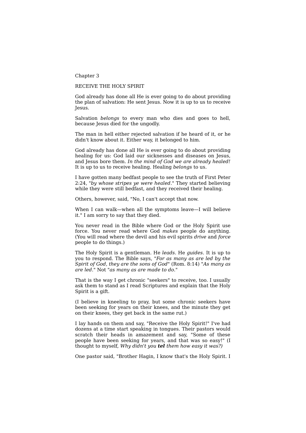Chapter 3

RECEIVE THE HOLY SPIRIT

God already has done all He is ever going to do about providing the plan of salvation: He sent Jesus. Now it is up to us to receive Jesus.

Salvation *belongs* to every man who dies and goes to hell, because Jesus died for the ungodly.

The man in hell either rejected salvation if he heard of it, or he didn't know about it. Either way, it belonged to him.

God already has done all He is ever going to do about providing healing for us: God laid our sicknesses and diseases on Jesus, and Jesus bore them. *In the mind of God we are already healed!* It is up to us to receive healing. Healing *belongs* to us.

I have gotten many bedfast people to see the truth of First Peter 2:24, *"by whose stripes ye were healed."* They started believing while they were still bedfast, and they received their healing.

Others, however, said, "No, I can't accept that now.

When I can walk—when all the symptoms leave—I will believe it." I am sorry to say that they died.

You never read in the Bible where God or the Holy Spirit use force. You never read where God *makes* people do anything. (You will read where the devil and his evil spirits *drive* and *force* people to do things.)

The Holy Spirit is a gentleman. He *leads.* He *guides.* It is up to you to respond. The Bible says, *"For as many as are led by the Spirit of God, they are the sons of God"* (Rom. 8:14) *"As many as are led."* Not *"as many as are made to do."*

That is the way I get chronic "seekers" to receive, too. I usually ask them to stand as I read Scriptures and explain that the Holy Spirit is a gift.

(I believe in kneeling to pray, but some chronic seekers have been seeking for years on their knees, and the minute they get on their knees, they get back in the same rut.)

I lay hands on them and say, "Receive the Holy Spirit!" I've had dozens at a time start speaking in tongues. Their pastors would scratch their heads in amazement and say, "Some of these people have been seeking for years, and that was so easy!" (I thought to myself, *Why didn't you tel them how easy it was?)*

One pastor said, "Brother Hagin, I know that's the Holy Spirit. I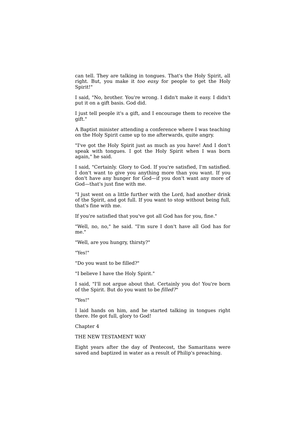can tell. They are talking in tongues. That's the Holy Spirit, all right. But, you make it *too easy* for people to get the Holy Spirit!"

I said, "No, brother. You're wrong. I didn't make it easy. I didn't put it on a gift basis. God did.

I just tell people it's a gift, and I encourage them to receive the gift."

A Baptist minister attending a conference where I was teaching on the Holy Spirit came up to me afterwards, quite angry.

"I've got the Holy Spirit just as much as you have! And I don't speak with tongues. I got the Holy Spirit when I was born again," he said.

I said, "Certainly. Glory to God. If you're satisfied, I'm satisfied. I don't want to give you anything more than you want. If you don't have any hunger for God—if you don't want any more of God—that's just fine with me.

"I just went on a little further with the Lord, had another drink of the Spirit, and got full. If you want to stop without being full, that's fine with me.

If you're satisfied that you've got all God has for you, fine."

"Well, no, no," he said. "I'm sure I don't have all God has for me."

"Well, are you hungry, thirsty?"

"Yes!"

"Do you want to be filled?"

"I believe I have the Holy Spirit."

I said, "I'll not argue about that. Certainly you do! You're born of the Spirit. But do you want to be *filled?"*

"Yes!"

I laid hands on him, and he started talking in tongues right there. He got full, glory to God!

Chapter 4

THE NEW TESTAMENT WAY

Eight years after the day of Pentecost, the Samaritans were saved and baptized in water as a result of Philip's preaching.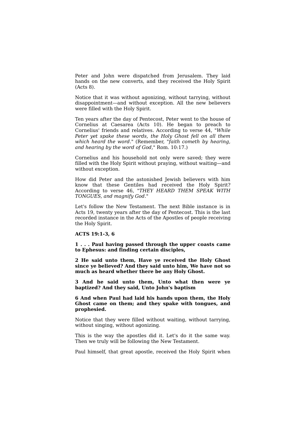Peter and John were dispatched from Jerusalem. They laid hands on the new converts, and they received the Holy Spirit (Acts 8).

Notice that it was without agonizing, without tarrying, without disappointment—and without exception. All the new believers were filled with the Holy Spirit.

Ten years after the day of Pentecost, Peter went to the house of Cornelius at Caesarea (Acts 10). He began to preach to Cornelius' friends and relatives. According to verse 44, *"While Peter yet spake these words, the Holy Ghost fell on all them which heard the word."* (Remember, *"faith cometh by hearing, and hearing by the word of God,"* Rom. 10:17.)

Cornelius and his household not only were saved; they were filled with the Holy Spirit without praying, without waiting—and without exception.

How did Peter and the astonished Jewish believers with him know that these Gentiles had received the Holy Spirit? According to verse 46, *"THEY HEARD THEM SPEAK WITH TONGUES, and magnify God."*

Let's follow the New Testament. The next Bible instance is in Acts 19, twenty years after the day of Pentecost. This is the last recorded instance in the Acts of the Apostles of people receiving the Holy Spirit.

# **ACTS 19:1-3, 6**

**1 . . . Paul having passed through the upper coasts came to Ephesus: and finding certain disciples,**

**2 He said unto them, Have ye received the Holy Ghost since ye believed? And they said unto him, We have not so much as heard whether there be any Holy Ghost.**

**3 And he said unto them, Unto what then were ye baptized? And they said, Unto John's baptism**

**6 And when Paul had laid his hands upon them, the Holy Ghost came on them; and they spake with tongues, and prophesied.**

Notice that they were filled without waiting, without tarrying, without singing, without agonizing.

This is the way the apostles did it. Let's do it the same way. Then we truly will be following the New Testament.

Paul himself, that great apostle, received the Holy Spirit when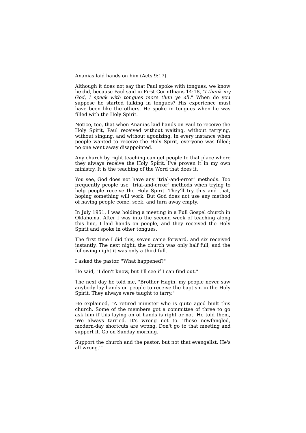Ananias laid hands on him (Acts 9:17).

Although it does not say that Paul spoke with tongues, we know he did, because Paul said in First Corinthians 14:18, *"I thank my God, I speak with tongues more than ye all."* When do you suppose he started talking in tongues? His experience must have been like the others. He spoke in tongues when he was filled with the Holy Spirit.

Notice, too, that when Ananias laid hands on Paul to receive the Holy Spirit, Paul received without waiting, without tarrying, without singing, and without agonizing. In every instance when people wanted to receive the Holy Spirit, everyone was filled; no one went away disappointed.

Any church by right teaching can get people to that place where they always receive the Holy Spirit. I've proven it in my own ministry. It is the teaching of the Word that does it.

You see, God does not have any "trial-and-error" methods. Too frequently people use "trial-and-error" methods when trying to help people receive the Holy Spirit. They'll try this and that, hoping something will work. But God does not use any method of having people come, seek, and turn away empty.

In July 1951, I was holding a meeting in a Full Gospel church in Oklahoma. After I was into the second week of teaching along this line, I laid hands on people, and they received the Holy Spirit and spoke in other tongues.

The first time I did this, seven came forward, and six received instantly. The next night, the church was only half full, and the following night it was only a third full.

I asked the pastor, "What happened?"

He said, "I don't know, but I'll see if I can find out."

The next day he told me, "Brother Hagin, my people never saw anybody lay hands on people to receive the baptism in the Holy Spirit. They always were taught to tarry."

He explained, "A retired minister who is quite aged built this church. Some of the members got a committee of three to go ask him if this laying on of hands is right or not. He told them, 'We always tarried. It's wrong not to. These newfangled, modern-day shortcuts are wrong. Don't go to that meeting and support it. Go on Sunday morning.

Support the church and the pastor, but not that evangelist. He's all wrong.'"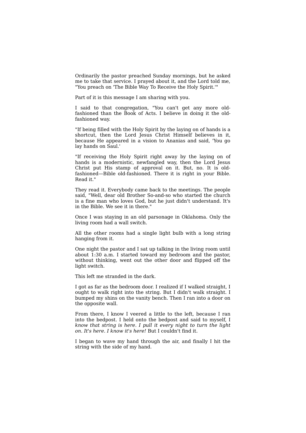Ordinarily the pastor preached Sunday mornings, but he asked me to take that service. I prayed about it, and the Lord told me, "You preach on 'The Bible Way To Receive the Holy Spirit."

Part of it is this message I am sharing with you.

I said to that congregation, "You can't get any more oldfashioned than the Book of Acts. I believe in doing it the oldfashioned way.

"If being filled with the Holy Spirit by the laying on of hands is a shortcut, then the Lord Jesus Christ Himself believes in it, because He appeared in a vision to Ananias and said, 'You go lay hands on Saul.'

"If receiving the Holy Spirit right away by the laying on of hands is a modernistic, newfangled way, then the Lord Jesus Christ put His stamp of approval on it. But, no. It is oldfashioned—Bible old-fashioned. There it is right in your Bible. Read it."

They read it. Everybody came back to the meetings. The people said, "Well, dear old Brother So-and-so who started the church is a fine man who loves God, but he just didn't understand. It's in the Bible. We see it in there."

Once I was staying in an old parsonage in Oklahoma. Only the living room had a wall switch.

All the other rooms had a single light bulb with a long string hanging from it.

One night the pastor and I sat up talking in the living room until about 1:30 a.m. I started toward my bedroom and the pastor, without thinking, went out the other door and flipped off the light switch.

This left me stranded in the dark.

I got as far as the bedroom door. I realized if I walked straight, I ought to walk right into the string. But I didn't walk straight. I bumped my shins on the vanity bench. Then I ran into a door on the opposite wall.

From there, I know I veered a little to the left, because I ran into the bedpost. I held onto the bedpost and said to myself, I *know that string is here. I pull it every night to turn the light on. It's here. I know it's here!* But I couldn't find it.

I began to wave my hand through the air, and finally I hit the string with the side of my hand.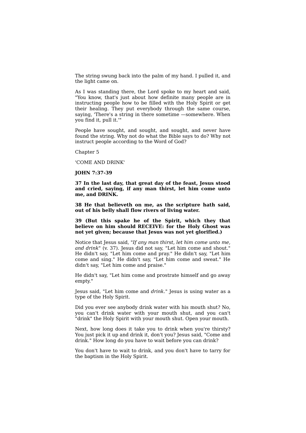The string swung back into the palm of my hand. I pulled it, and the light came on.

As I was standing there, the Lord spoke to my heart and said, "You know, that's just about how definite many people are in instructing people how to be filled with the Holy Spirit or get their healing. They put everybody through the same course, saying, 'There's a string in there sometime —somewhere. When you find it, pull it.'"

People have sought, and sought, and sought, and never have found the string. Why not do what the Bible says to do? Why not instruct people according to the Word of God?

#### Chapter 5

'COME AND DRINK'

#### **JOHN 7:37-39**

**37 In the last day, that great day of the feast, Jesus stood and cried, saying, if any man thirst, let him come unto me, and DRINK.**

**38 He that believeth on me, as the scripture hath said, out of his belly shall flow rivers of living water.**

**39 (But this spake he of the Spirit, which they that believe on him should RECEIVE: for the Holy Ghost was not yet given; because that Jesus was not yet glorified.)**

Notice that Jesus said, *"If any man thirst, let him come unto me, and drink"* (v. 37). Jesus did not say, "Let him come and shout." He didn't say, "Let him come and pray." He didn't say, "Let him come and sing." He didn't say, "Let him come and sweat." He didn't say, "Let him come and praise."

He didn't say, "Let him come and prostrate himself and go away empty."

Jesus said, "Let him come and *drink."* Jesus is using water as a type of the Holy Spirit.

Did you ever see anybody drink water with his mouth shut? No, you can't drink water with your mouth shut, and you can't "drink" the Holy Spirit with your mouth shut. Open your mouth.

Next, how long does it take you to drink when you're thirsty? You just pick it up and drink it, don't you? Jesus said, "Come and drink." How long do you have to wait before you can drink?

You don't have to wait to drink, and you don't have to tarry for the baptism in the Holy Spirit.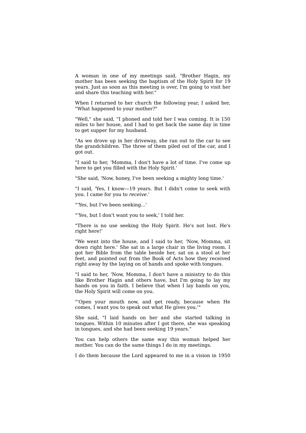A woman in one of my meetings said, "Brother Hagin, my mother has been seeking the baptism of the Holy Spirit for 19 years. Just as soon as this meeting is over, I'm going to visit her and share this teaching with her."

When I returned to her church the following year, I asked her, "What happened to your mother?"

"Well," she said, "I phoned and told her I was coming. It is 150 miles to her house, and I had to get back the same day in time to get supper for my husband.

"As we drove up in her driveway, she ran out to the car to see the grandchildren. The three of them piled out of the car, and I got out.

"I said to her, 'Momma, I don't have a lot of time. I've come up here to get you filled with the Holy Spirit.'

"She said, 'Now, honey, I've been seeking a mighty long time.'

"I said, 'Yes, I know—19 years. But I didn't come to seek with you. I came for you to *receive.'*

"'Yes, but I've been seeking...'

"'Yes, but I don't want you to seek,' I told her.

"There is no use seeking the Holy Spirit. He's not lost. He's right here!'

"We went into the house, and I said to her, 'Now, Momma, sit down right here.' She sat in a large chair in the living room. I got her Bible from the table beside her, sat on a stool at her feet, and pointed out from the Book of Acts how they received right away by the laying on of hands and spoke with tongues.

"I said to her, 'Now, Momma, I don't have a ministry to do this like Brother Hagin and others have, but I'm going to lay my hands on you in faith. I believe that when I lay hands on you, the Holy Spirit will come on you.

"'Open your mouth now, and get ready, because when He comes, I want you to speak out what He gives you.'"

She said, "I laid hands on her and she started talking in tongues. Within 10 minutes after I got there, she was speaking in tongues, and she had been seeking 19 years."

You can help others the same way this woman helped her mother. You can do the same things I do in my meetings.

I do them because the Lord appeared to me in a vision in 1950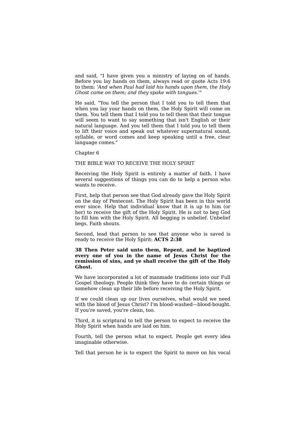and said, "I have given you a ministry of laying on of hands. Before you lay hands on them, always read or quote Acts 19:6 to them: *'And when Paul had laid his hands upon them, the Holy Ghost came on them; and they spake with tongues.'"*

He said, "You tell the person that I told you to tell them that when you lay your hands on them, the Holy Spirit will come on them. You tell them that I told you to tell them that their tongue will seem to want to say something that isn't English or their natural language. And you tell them that I told you to tell them to lift their voice and speak out whatever supernatural sound, syllable, or word comes and keep speaking until a free, clear language comes."

#### Chapter 6

# THE BIBLE WAY TO RECEIVE THE HOLY SPIRIT

Receiving the Holy Spirit is entirely a matter of faith. I have several suggestions of things you can do to help a person who wants to receive.

First, help that person see that God already gave the Holy Spirit on the day of Pentecost. The Holy Spirit has been in this world ever since. Help that individual know that it is up to him (or her) to receive the gift of the Holy Spirit. He is not to beg God to fill him with the Holy Spirit. All begging is unbelief. Unbelief begs. Faith shouts.

Second, lead that person to see that anyone who is saved is ready to receive the Holy Spirit: **ACTS 2:38**

# **38 Then Peter said unto them, Repent, and be baptized every one of you in the name of Jesus Christ for the remission of sins, and ye shall receive the gift of the Holy Ghost.**

We have incorporated a lot of manmade traditions into our Full Gospel theology. People think they have to do certain things or somehow clean up their life before receiving the Holy Spirit.

If we could clean up our lives ourselves, what would we need with the blood of Jesus Christ? I'm blood-washed—blood-bought. If you're saved, you're clean, too.

Third, it is scriptural to tell the person to expect to receive the Holy Spirit when hands are laid on him.

Fourth, tell the person what to expect. People get every idea imaginable otherwise.

Tell that person he is to expect the Spirit to move on his vocal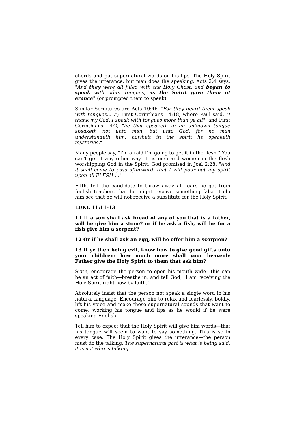chords and put supernatural words on his lips. The Holy Spirit gives the utterance, but man does the speaking. Acts 2:4 says, *"And they were all filled with the Holy Ghost, and began to speak with other tongues, as the Spirit gave them ut erance"* (or prompted them to speak).

Similar Scriptures are Acts 10:46, *"For they heard them speak with tongues...* ."; First Corinthians 14:18, where Paul said, *"I thank my God, I speak with tongues more than ye all";* and First Corinthians 14:2, *"he that speaketh in an unknown tongue speaketh not unto men, but unto God: for no man understandeth him; howbeit in the spirit he speaketh mysteries."*

Many people say, "I'm afraid I'm going to get it in the flesh." You can't get it any other way! It is men and women in the flesh worshipping God in the Spirit. God promised in Joel 2:28, *"And it shall come to pass afterward, that I will pour out my spirit upon all FLESH...."*

Fifth, tell the candidate to throw away all fears he got from foolish teachers that he might receive something false. Help him see that he will not receive a substitute for the Holy Spirit.

#### **LUKE 11:11-13**

**11 If a son shall ask bread of any of you that is a father, will he give him a stone? or if he ask a fish, will he for a fish give him a serpent?**

# **12 Or if he shall ask an egg, will he offer him a scorpion?**

# **13 If ye then being evil, know how to give good gifts unto your children: how much more shall your heavenly Father give the Holy Spirit to them that ask him?**

Sixth, encourage the person to open his mouth wide—this can be an act of faith—breathe in, and tell God, "I am receiving the Holy Spirit right now by faith."

Absolutely insist that the person not speak a single word in his natural language. Encourage him to relax and fearlessly, boldly, lift his voice and make those supernatural sounds that want to come, working his tongue and lips as he would if he were speaking English.

Tell him to expect that the Holy Spirit will give him words—that his tongue will seem to want to say something. This is so in every case. The Holy Spirit gives the utterance—the person must do the talking. *The supernatural part is what is being said; it is not who is talking.*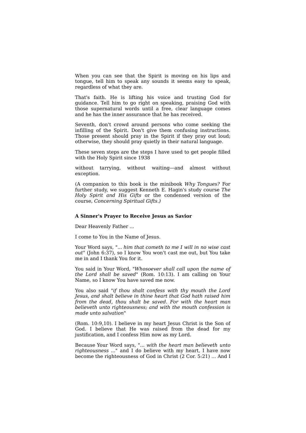When you can see that the Spirit is moving on his lips and tongue, tell him to speak any sounds it seems easy to speak, regardless of what they are.

That's faith. He is lifting his voice and trusting God for guidance. Tell him to go right on speaking, praising God with those supernatural words until a free, clear language comes and he has the inner assurance that he has received.

Seventh, don't crowd around persons who come seeking the infilling of the Spirit. Don't give them confusing instructions. Those present should pray in the Spirit if they pray out loud; otherwise, they should pray quietly in their natural language.

These seven steps are the steps I have used to get people filled with the Holy Spirit since 1938

without tarrying, without waiting—and almost without exception.

(A companion to this book is the minibook *Why Tongues?* For further study, we suggest Kenneth E. Hagin's study course *The Holy Spirit and His Gifts* or the condensed version of the course, *Concerning Spiritual Gifts.)*

# **A Sinner's Prayer to Receive Jesus as Savior**

Dear Heavenly Father ...

I come to You in the Name of Jesus.

Your Word says, "... *him that cometh to me I will in no wise cast out"* (John 6:37), so I know You won't cast me out, but You take me in and I thank You for it.

You said in Your Word, *"Whosoever shall call upon the name of the Lord shall be saved"* (Rom. 10:13). I am calling on Your Name, so I know You have saved me now.

You also said *"if thou shalt confess with thy mouth the Lord Jesus, and shalt believe in thine heart that God hath raised him from the dead, thou shalt be saved. For with the heart man believeth unto righteousness; and with the mouth confession is made unto salvation"*

(Rom. 10:9,10). I believe in my heart Jesus Christ is the Son of God. I believe that He was raised from the dead for my justification, and I confess Him now as my Lord.

Because Your Word says, *"... with the heart man believeth unto righteousness ..."* and I do believe with my heart, I have now become the righteousness of God in Christ (2 Cor. 5:21) ... And I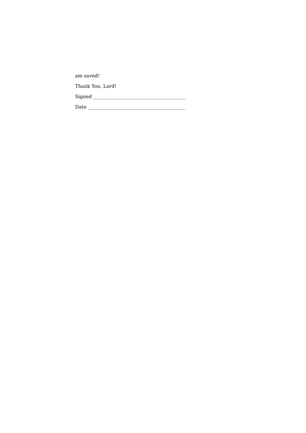am saved!

Thank You, Lord!